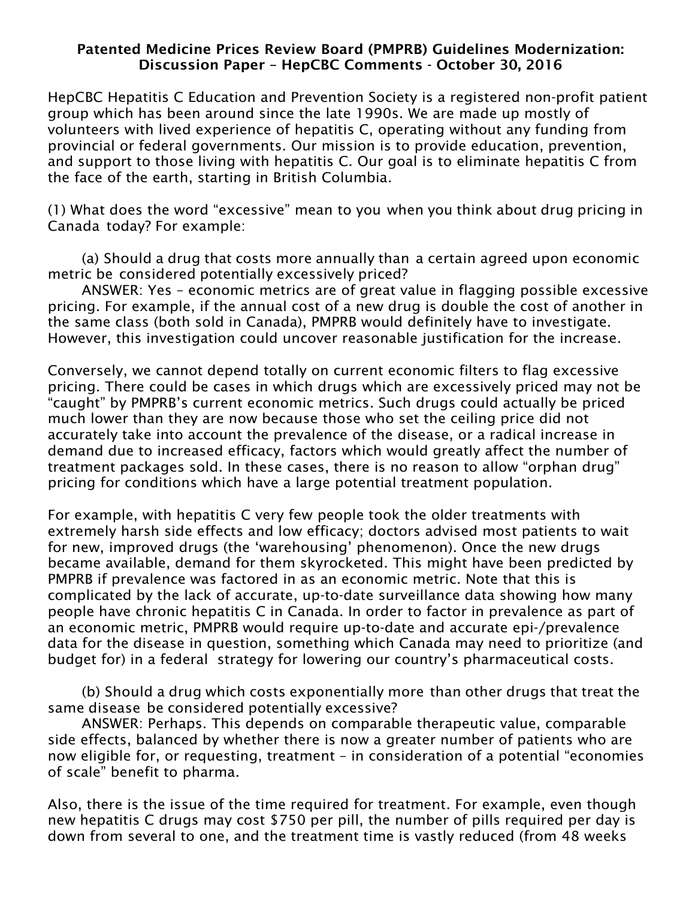## Patented Medicine Prices Review Board (PMPRB) Guidelines Modernization: Discussion Paper – HepCBC Comments - October 30, 2016

HepCBC Hepatitis C Education and Prevention Society is a registered non-profit patient group which has been around since the late 1990s. We are made up mostly of volunteers with lived experience of hepatitis C, operating without any funding from provincial or federal governments. Our mission is to provide education, prevention, and support to those living with hepatitis C. Our goal is to eliminate hepatitis C from the face of the earth, starting in British Columbia.

(1) What does the word "excessive" mean to you when you think about drug pricing in Canada today? For example:

(a) Should a drug that costs more annually than a certain agreed upon economic metric be considered potentially excessively priced?

ANSWER: Yes – economic metrics are of great value in flagging possible excessive pricing. For example, if the annual cost of a new drug is double the cost of another in the same class (both sold in Canada), PMPRB would definitely have to investigate. However, this investigation could uncover reasonable justification for the increase.

Conversely, we cannot depend totally on current economic filters to flag excessive pricing. There could be cases in which drugs which are excessively priced may not be "caught" by PMPRB's current economic metrics. Such drugs could actually be priced much lower than they are now because those who set the ceiling price did not accurately take into account the prevalence of the disease, or a radical increase in demand due to increased efficacy, factors which would greatly affect the number of treatment packages sold. In these cases, there is no reason to allow "orphan drug" pricing for conditions which have a large potential treatment population.

For example, with hepatitis C very few people took the older treatments with extremely harsh side effects and low efficacy; doctors advised most patients to wait for new, improved drugs (the 'warehousing' phenomenon). Once the new drugs became available, demand for them skyrocketed. This might have been predicted by PMPRB if prevalence was factored in as an economic metric. Note that this is complicated by the lack of accurate, up-to-date surveillance data showing how many people have chronic hepatitis C in Canada. In order to factor in prevalence as part of an economic metric, PMPRB would require up-to-date and accurate epi-/prevalence data for the disease in question, something which Canada may need to prioritize (and budget for) in a federal strategy for lowering our country's pharmaceutical costs.

(b) Should a drug which costs exponentially more than other drugs that treat the same disease be considered potentially excessive?

ANSWER: Perhaps. This depends on comparable therapeutic value, comparable side effects, balanced by whether there is now a greater number of patients who are now eligible for, or requesting, treatment – in consideration of a potential "economies of scale" benefit to pharma.

Also, there is the issue of the time required for treatment. For example, even though new hepatitis C drugs may cost \$750 per pill, the number of pills required per day is down from several to one, and the treatment time is vastly reduced (from 48 weeks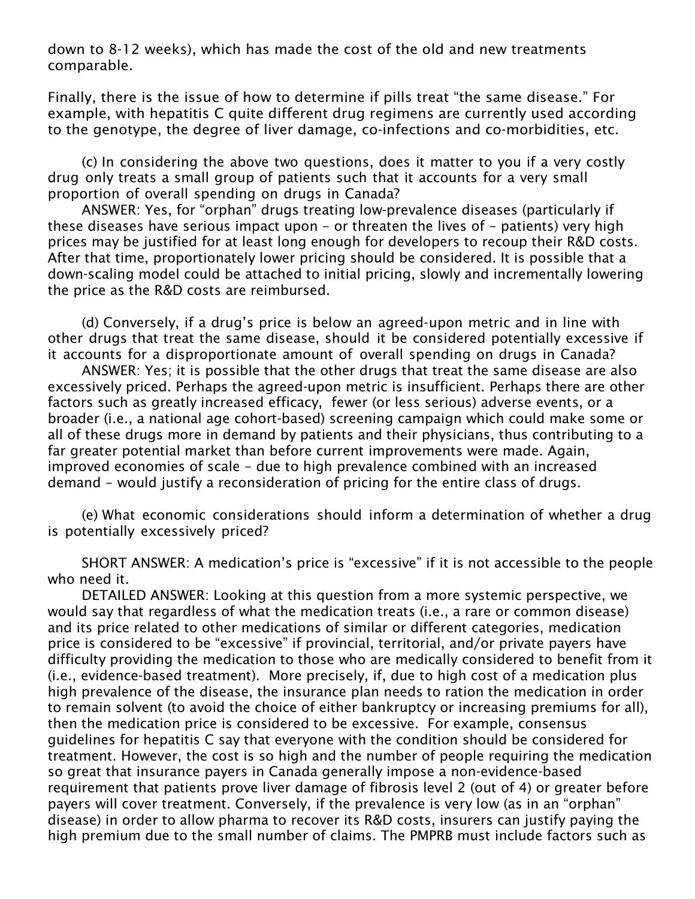down to 8-12 weeks), which has made the cost of the old and new treatments comparable.

Finally, there is the issue of how to determine if pills treat "the same disease." For example, with hepatitis C quite different drug regimens are currently used according to the genotype, the degree of liver damage, co-infections and co-morbidities, etc.

(c) In considering the above two questions, does it matter to you if a very costly drug only treats a small group of patients such that it accounts for a very small proportion of overall spending on drugs in Canada?

ANSWER: Yes, for "orphan" drugs treating low-prevalence diseases (particularly if these diseases have serious impact upon – or threaten the lives of – patients) very high prices may be justified for at least long enough for developers to recoup their R&D costs. After that time, proportionately lower pricing should be considered. It is possible that a down-scaling model could be attached to initial pricing, slowly and incrementally lowering the price as the R&D costs are reimbursed.

(d) Conversely, if a drug's price is below an agreed-upon metric and in line with other drugs that treat the same disease, should it be considered potentially excessive if it accounts for a disproportionate amount of overall spending on drugs in Canada?

ANSWER: Yes; it is possible that the other drugs that treat the same disease are also excessively priced. Perhaps the agreed-upon metric is insufficient. Perhaps there are other factors such as greatly increased efficacy, fewer (or less serious) adverse events, or a broader (i.e., a national age cohort-based) screening campaign which could make some or all of these drugs more in demand by patients and their physicians, thus contributing to a far greater potential market than before current improvements were made. Again, improved economies of scale – due to high prevalence combined with an increased demand – would justify a reconsideration of pricing for the entire class of drugs.

(e) What economic considerations should inform a determination of whether a drug is potentially excessively priced?

SHORT ANSWER: A medication's price is "excessive" if it is not accessible to the people who need it.

DETAILED ANSWER: Looking at this question from a more systemic perspective, we would say that regardless of what the medication treats (i.e., a rare or common disease) and its price related to other medications of similar or different categories, medication price is considered to be "excessive" if provincial, territorial, and/or private payers have difficulty providing the medication to those who are medically considered to benefit from it (i.e., evidence-based treatment). More precisely, if, due to high cost of a medication plus high prevalence of the disease, the insurance plan needs to ration the medication in order to remain solvent (to avoid the choice of either bankruptcy or increasing premiums for all), then the medication price is considered to be excessive. For example, consensus guidelines for hepatitis C say that everyone with the condition should be considered for treatment. However, the cost is so high and the number of people requiring the medication so great that insurance payers in Canada generally impose a non-evidence-based requirement that patients prove liver damage of fibrosis level 2 (out of 4) or greater before payers will cover treatment. Conversely, if the prevalence is very low (as in an "orphan" disease) in order to allow pharma to recover its R&D costs, insurers can justify paying the high premium due to the small number of claims. The PMPRB must include factors such as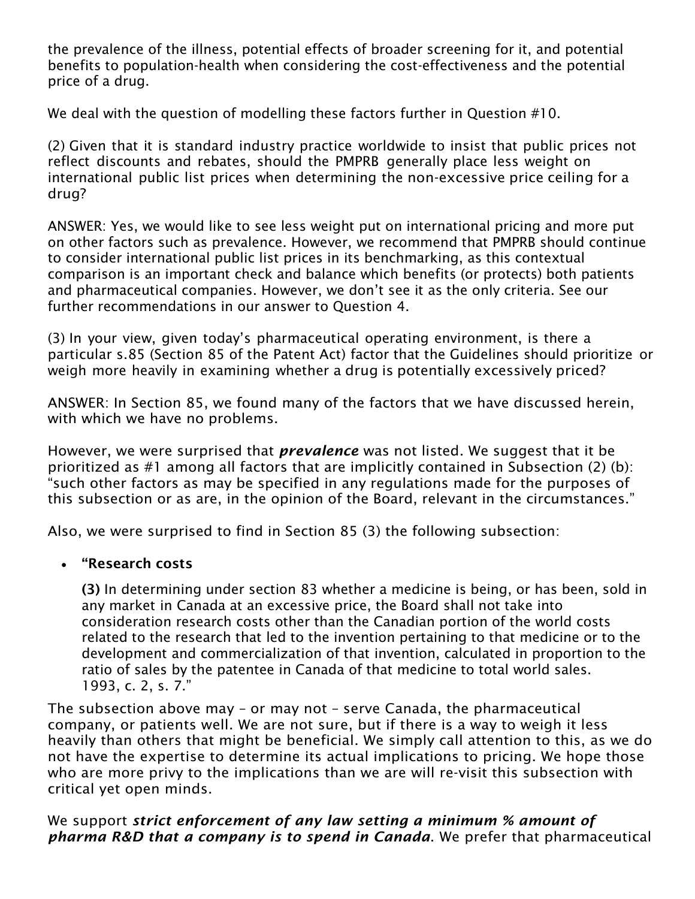the prevalence of the illness, potential effects of broader screening for it, and potential benefits to population-health when considering the cost-effectiveness and the potential price of a drug.

We deal with the question of modelling these factors further in Question #10.

(2) Given that it is standard industry practice worldwide to insist that public prices not reflect discounts and rebates, should the PMPRB generally place less weight on international public list prices when determining the non-excessive price ceiling for a drug?

ANSWER: Yes, we would like to see less weight put on international pricing and more put on other factors such as prevalence. However, we recommend that PMPRB should continue to consider international public list prices in its benchmarking, as this contextual comparison is an important check and balance which benefits (or protects) both patients and pharmaceutical companies. However, we don't see it as the only criteria. See our further recommendations in our answer to Question 4.

(3) In your view, given today's pharmaceutical operating environment, is there a particular s.85 (Section 85 of the Patent Act) factor that the Guidelines should prioritize or weigh more heavily in examining whether a drug is potentially excessively priced?

ANSWER: In Section 85, we found many of the factors that we have discussed herein, with which we have no problems.

However, we were surprised that *prevalence* was not listed. We suggest that it be prioritized as #1 among all factors that are implicitly contained in Subsection (2) (b): "such other factors as may be specified in any regulations made for the purposes of this subsection or as are, in the opinion of the Board, relevant in the circumstances."

Also, we were surprised to find in Section 85 (3) the following subsection:

## • "Research costs

(3) In determining under section 83 whether a medicine is being, or has been, sold in any market in Canada at an excessive price, the Board shall not take into consideration research costs other than the Canadian portion of the world costs related to the research that led to the invention pertaining to that medicine or to the development and commercialization of that invention, calculated in proportion to the ratio of sales by the patentee in Canada of that medicine to total world sales. 1993, c. 2, s. 7."

The subsection above may – or may not – serve Canada, the pharmaceutical company, or patients well. We are not sure, but if there is a way to weigh it less heavily than others that might be beneficial. We simply call attention to this, as we do not have the expertise to determine its actual implications to pricing. We hope those who are more privy to the implications than we are will re-visit this subsection with critical yet open minds.

## We support *strict enforcement of any law setting a minimum % amount of pharma R&D that a company is to spend in Canada*. We prefer that pharmaceutical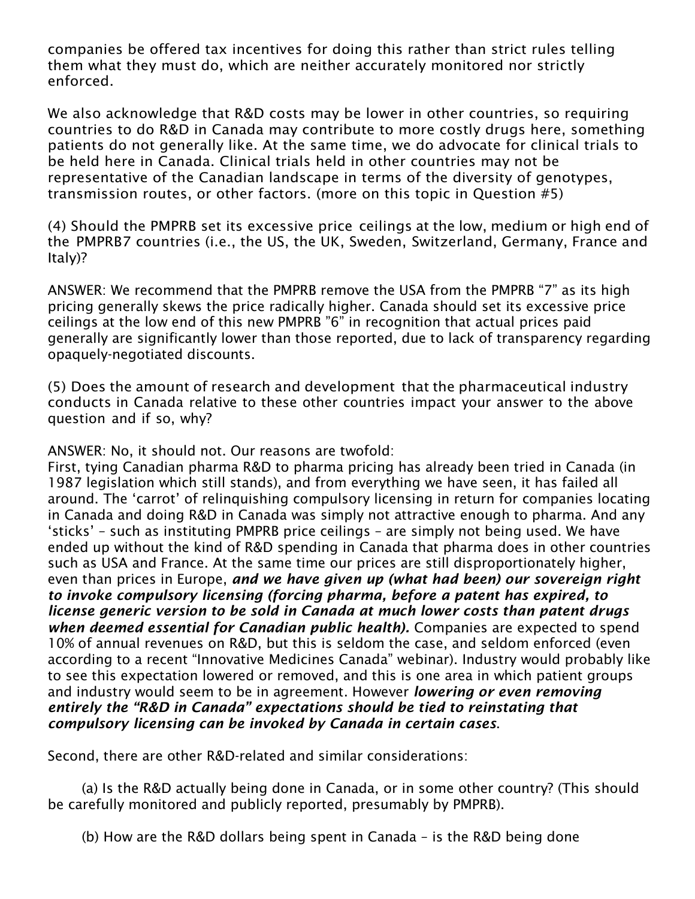companies be offered tax incentives for doing this rather than strict rules telling them what they must do, which are neither accurately monitored nor strictly enforced.

We also acknowledge that R&D costs may be lower in other countries, so requiring countries to do R&D in Canada may contribute to more costly drugs here, something patients do not generally like. At the same time, we do advocate for clinical trials to be held here in Canada. Clinical trials held in other countries may not be representative of the Canadian landscape in terms of the diversity of genotypes, transmission routes, or other factors. (more on this topic in Question #5)

(4) Should the PMPRB set its excessive price ceilings at the low, medium or high end of the PMPRB7 countries (i.e., the US, the UK, Sweden, Switzerland, Germany, France and Italy)?

ANSWER: We recommend that the PMPRB remove the USA from the PMPRB "7" as its high pricing generally skews the price radically higher. Canada should set its excessive price ceilings at the low end of this new PMPRB "6" in recognition that actual prices paid generally are significantly lower than those reported, due to lack of transparency regarding opaquely-negotiated discounts.

(5) Does the amount of research and development that the pharmaceutical industry conducts in Canada relative to these other countries impact your answer to the above question and if so, why?

ANSWER: No, it should not. Our reasons are twofold:

First, tying Canadian pharma R&D to pharma pricing has already been tried in Canada (in 1987 legislation which still stands), and from everything we have seen, it has failed all around. The 'carrot' of relinquishing compulsory licensing in return for companies locating in Canada and doing R&D in Canada was simply not attractive enough to pharma. And any 'sticks' – such as instituting PMPRB price ceilings – are simply not being used. We have ended up without the kind of R&D spending in Canada that pharma does in other countries such as USA and France. At the same time our prices are still disproportionately higher, even than prices in Europe, *and we have given up (what had been) our sovereign right to invoke compulsory licensing (forcing pharma, before a patent has expired, to license generic version to be sold in Canada at much lower costs than patent drugs when deemed essential for Canadian public health).* Companies are expected to spend 10% of annual revenues on R&D, but this is seldom the case, and seldom enforced (even according to a recent "Innovative Medicines Canada" webinar). Industry would probably like to see this expectation lowered or removed, and this is one area in which patient groups and industry would seem to be in agreement. However *lowering or even removing entirely the "R&D in Canada" expectations should be tied to reinstating that compulsory licensing can be invoked by Canada in certain cases*.

Second, there are other R&D-related and similar considerations:

(a) Is the R&D actually being done in Canada, or in some other country? (This should be carefully monitored and publicly reported, presumably by PMPRB).

(b) How are the R&D dollars being spent in Canada – is the R&D being done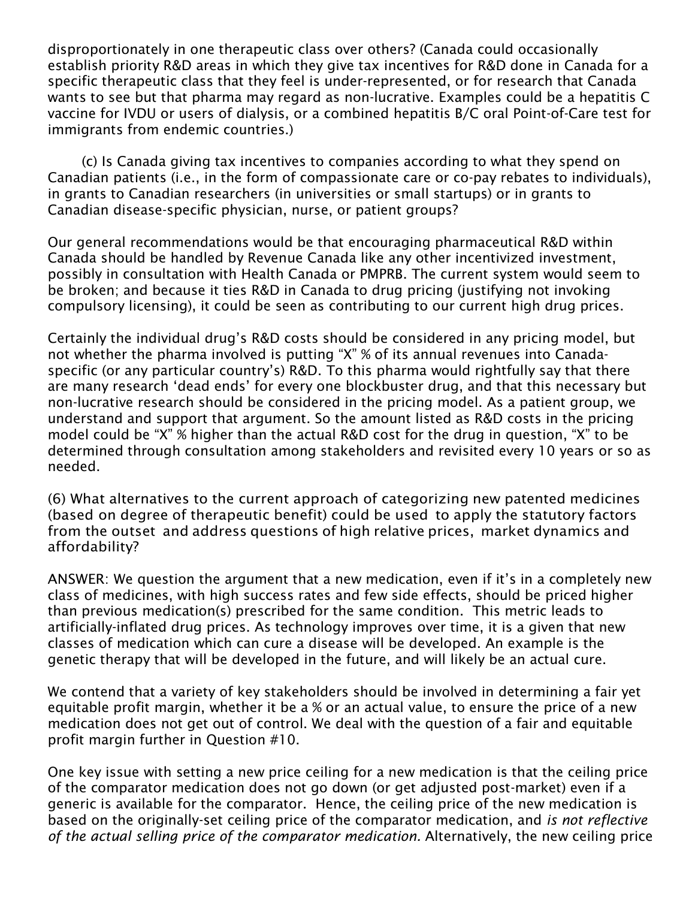disproportionately in one therapeutic class over others? (Canada could occasionally establish priority R&D areas in which they give tax incentives for R&D done in Canada for a specific therapeutic class that they feel is under-represented, or for research that Canada wants to see but that pharma may regard as non-lucrative. Examples could be a hepatitis C vaccine for IVDU or users of dialysis, or a combined hepatitis B/C oral Point-of-Care test for immigrants from endemic countries.)

(c) Is Canada giving tax incentives to companies according to what they spend on Canadian patients (i.e., in the form of compassionate care or co-pay rebates to individuals), in grants to Canadian researchers (in universities or small startups) or in grants to Canadian disease-specific physician, nurse, or patient groups?

Our general recommendations would be that encouraging pharmaceutical R&D within Canada should be handled by Revenue Canada like any other incentivized investment, possibly in consultation with Health Canada or PMPRB. The current system would seem to be broken; and because it ties R&D in Canada to drug pricing (justifying not invoking compulsory licensing), it could be seen as contributing to our current high drug prices.

Certainly the individual drug's R&D costs should be considered in any pricing model, but not whether the pharma involved is putting "X" % of its annual revenues into Canadaspecific (or any particular country's) R&D. To this pharma would rightfully say that there are many research 'dead ends' for every one blockbuster drug, and that this necessary but non-lucrative research should be considered in the pricing model. As a patient group, we understand and support that argument. So the amount listed as R&D costs in the pricing model could be "X" % higher than the actual R&D cost for the drug in question, "X" to be determined through consultation among stakeholders and revisited every 10 years or so as needed.

(6) What alternatives to the current approach of categorizing new patented medicines (based on degree of therapeutic benefit) could be used to apply the statutory factors from the outset and address questions of high relative prices, market dynamics and affordability?

ANSWER: We question the argument that a new medication, even if it's in a completely new class of medicines, with high success rates and few side effects, should be priced higher than previous medication(s) prescribed for the same condition. This metric leads to artificially-inflated drug prices. As technology improves over time, it is a given that new classes of medication which can cure a disease will be developed. An example is the genetic therapy that will be developed in the future, and will likely be an actual cure.

We contend that a variety of key stakeholders should be involved in determining a fair yet equitable profit margin, whether it be a % or an actual value, to ensure the price of a new medication does not get out of control. We deal with the question of a fair and equitable profit margin further in Question #10.

One key issue with setting a new price ceiling for a new medication is that the ceiling price of the comparator medication does not go down (or get adjusted post-market) even if a generic is available for the comparator. Hence, the ceiling price of the new medication is based on the originally-set ceiling price of the comparator medication, and *is not reflective of the actual selling price of the comparator medication.* Alternatively, the new ceiling price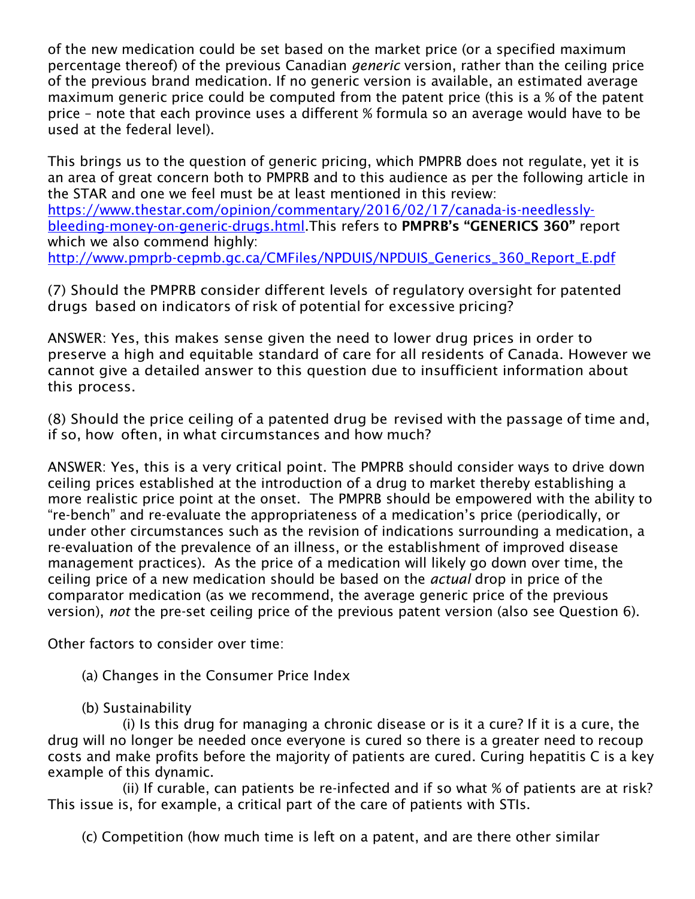of the new medication could be set based on the market price (or a specified maximum percentage thereof) of the previous Canadian *generic* version, rather than the ceiling price of the previous brand medication. If no generic version is available, an estimated average maximum generic price could be computed from the patent price (this is a % of the patent price – note that each province uses a different % formula so an average would have to be used at the federal level).

This brings us to the question of generic pricing, which PMPRB does not regulate, yet it is an area of great concern both to PMPRB and to this audience as per the following article in the STAR and one we feel must be at least mentioned in this review: [https://www.thestar.com/opinion/commentary/2016/02/17/canada-is-needlessly](https://www.thestar.com/opinion/commentary/2016/02/17/canada-is-needlessly-bleeding-money-on-generic-drugs.html)[bleeding-money-on-generic-drugs.html.](https://www.thestar.com/opinion/commentary/2016/02/17/canada-is-needlessly-bleeding-money-on-generic-drugs.html)This refers to PMPRB's "GENERICS 360" report which we also commend highly: [http://www.pmprb-cepmb.gc.ca/CMFiles/NPDUIS/NPDUIS\\_Generics\\_360\\_Report\\_E.pdf](http://www.pmprb-cepmb.gc.ca/CMFiles/NPDUIS/NPDUIS_Generics_360_Report_E.pdf)

(7) Should the PMPRB consider different levels of regulatory oversight for patented drugs based on indicators of risk of potential for excessive pricing?

ANSWER: Yes, this makes sense given the need to lower drug prices in order to preserve a high and equitable standard of care for all residents of Canada. However we cannot give a detailed answer to this question due to insufficient information about this process.

(8) Should the price ceiling of a patented drug be revised with the passage of time and, if so, how often, in what circumstances and how much?

ANSWER: Yes, this is a very critical point. The PMPRB should consider ways to drive down ceiling prices established at the introduction of a drug to market thereby establishing a more realistic price point at the onset. The PMPRB should be empowered with the ability to "re-bench" and re-evaluate the appropriateness of a medication's price (periodically, or under other circumstances such as the revision of indications surrounding a medication, a re-evaluation of the prevalence of an illness, or the establishment of improved disease management practices). As the price of a medication will likely go down over time, the ceiling price of a new medication should be based on the *actual* drop in price of the comparator medication (as we recommend, the average generic price of the previous version), *not* the pre-set ceiling price of the previous patent version (also see Question 6).

Other factors to consider over time:

(a) Changes in the Consumer Price Index

(b) Sustainability

(i) Is this drug for managing a chronic disease or is it a cure? If it is a cure, the drug will no longer be needed once everyone is cured so there is a greater need to recoup costs and make profits before the majority of patients are cured. Curing hepatitis C is a key example of this dynamic.

(ii) If curable, can patients be re-infected and if so what % of patients are at risk? This issue is, for example, a critical part of the care of patients with STIs.

(c) Competition (how much time is left on a patent, and are there other similar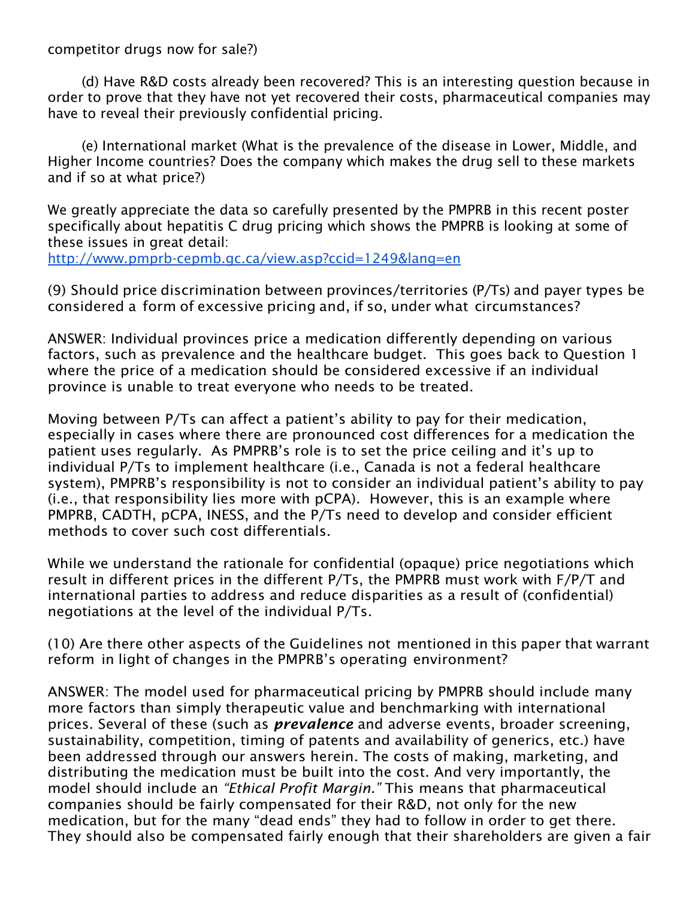competitor drugs now for sale?)

(d) Have R&D costs already been recovered? This is an interesting question because in order to prove that they have not yet recovered their costs, pharmaceutical companies may have to reveal their previously confidential pricing.

(e) International market (What is the prevalence of the disease in Lower, Middle, and Higher Income countries? Does the company which makes the drug sell to these markets and if so at what price?)

We greatly appreciate the data so carefully presented by the PMPRB in this recent poster specifically about hepatitis C drug pricing which shows the PMPRB is looking at some of these issues in great detail:

<http://www.pmprb-cepmb.gc.ca/view.asp?ccid=1249&lang=en>

(9) Should price discrimination between provinces/territories (P/Ts) and payer types be considered a form of excessive pricing and, if so, under what circumstances?

ANSWER: Individual provinces price a medication differently depending on various factors, such as prevalence and the healthcare budget. This goes back to Question 1 where the price of a medication should be considered excessive if an individual province is unable to treat everyone who needs to be treated.

Moving between P/Ts can affect a patient's ability to pay for their medication, especially in cases where there are pronounced cost differences for a medication the patient uses regularly. As PMPRB's role is to set the price ceiling and it's up to individual P/Ts to implement healthcare (i.e., Canada is not a federal healthcare system), PMPRB's responsibility is not to consider an individual patient's ability to pay (i.e., that responsibility lies more with pCPA). However, this is an example where PMPRB, CADTH, pCPA, INESS, and the P/Ts need to develop and consider efficient methods to cover such cost differentials.

While we understand the rationale for confidential (opaque) price negotiations which result in different prices in the different P/Ts, the PMPRB must work with F/P/T and international parties to address and reduce disparities as a result of (confidential) negotiations at the level of the individual P/Ts.

(10) Are there other aspects of the Guidelines not mentioned in this paper that warrant reform in light of changes in the PMPRB's operating environment?

ANSWER: The model used for pharmaceutical pricing by PMPRB should include many more factors than simply therapeutic value and benchmarking with international prices. Several of these (such as *prevalence* and adverse events, broader screening, sustainability, competition, timing of patents and availability of generics, etc.) have been addressed through our answers herein. The costs of making, marketing, and distributing the medication must be built into the cost. And very importantly, the model should include an *"Ethical Profit Margin."* This means that pharmaceutical companies should be fairly compensated for their R&D, not only for the new medication, but for the many "dead ends" they had to follow in order to get there. They should also be compensated fairly enough that their shareholders are given a fair